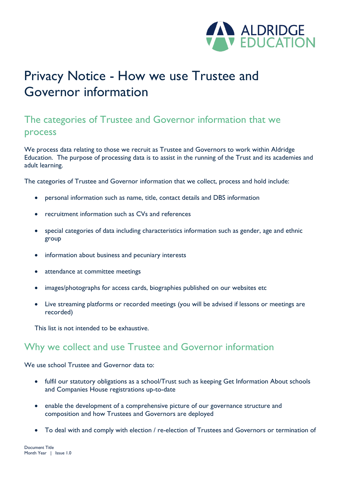

# Privacy Notice - How we use Trustee and Governor information

# The categories of Trustee and Governor information that we process

We process data relating to those we recruit as Trustee and Governors to work within Aldridge Education. The purpose of processing data is to assist in the running of the Trust and its academies and adult learning.

The categories of Trustee and Governor information that we collect, process and hold include:

- personal information such as name, title, contact details and DBS information
- recruitment information such as CVs and references
- special categories of data including characteristics information such as gender, age and ethnic group
- information about business and pecuniary interests
- attendance at committee meetings
- images/photographs for access cards, biographies published on our websites etc
- Live streaming platforms or recorded meetings (you will be advised if lessons or meetings are recorded)

This list is not intended to be exhaustive.

### Why we collect and use Trustee and Governor information

We use school Trustee and Governor data to:

- fulfil our statutory obligations as a school/Trust such as keeping Get Information About schools and Companies House registrations up-to-date
- enable the development of a comprehensive picture of our governance structure and composition and how Trustees and Governors are deployed
- To deal with and comply with election / re-election of Trustees and Governors or termination of

Document Title Month Year | Issue I.0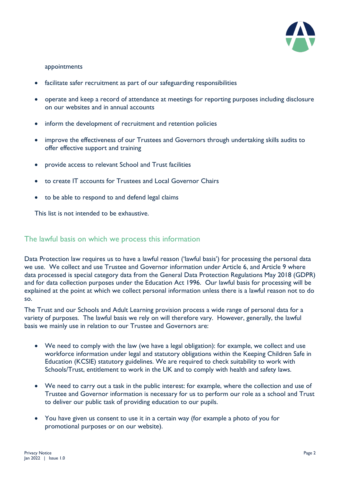

#### appointments

- facilitate safer recruitment as part of our safeguarding responsibilities
- operate and keep a record of attendance at meetings for reporting purposes including disclosure on our websites and in annual accounts
- inform the development of recruitment and retention policies
- improve the effectiveness of our Trustees and Governors through undertaking skills audits to offer effective support and training
- provide access to relevant School and Trust facilities
- to create IT accounts for Trustees and Local Governor Chairs
- to be able to respond to and defend legal claims

This list is not intended to be exhaustive.

#### The lawful basis on which we process this information

Data Protection law requires us to have a lawful reason ('lawful basis') for processing the personal data we use. We collect and use Trustee and Governor information under Article 6, and Article 9 where data processed is special category data from the General Data Protection Regulations May 2018 (GDPR) and for data collection purposes under the Education Act 1996. Our lawful basis for processing will be explained at the point at which we collect personal information unless there is a lawful reason not to do so.

The Trust and our Schools and Adult Learning provision process a wide range of personal data for a variety of purposes. The lawful basis we rely on will therefore vary. However, generally, the lawful basis we mainly use in relation to our Trustee and Governors are:

- We need to comply with the law (we have a legal obligation): for example, we collect and use workforce information under legal and statutory obligations within the Keeping Children Safe in Education (KCSIE) statutory guidelines. We are required to check suitability to work with Schools/Trust, entitlement to work in the UK and to comply with health and safety laws.
- We need to carry out a task in the public interest: for example, where the collection and use of Trustee and Governor information is necessary for us to perform our role as a school and Trust to deliver our public task of providing education to our pupils.
- You have given us consent to use it in a certain way (for example a photo of you for promotional purposes or on our website).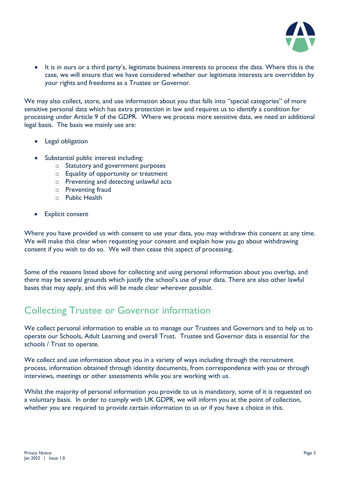

• It is in ours or a third party's, legitimate business interests to process the data. Where this is the case, we will ensure that we have considered whether our legitimate interests are overridden by your rights and freedoms as a Trustee or Governor.

We may also collect, store, and use information about you that falls into "special categories" of more sensitive personal data which has extra protection in law and requires us to identify a condition for processing under Article 9 of the GDPR. Where we process more sensitive data, we need an additional legal basis. The basis we mainly use are:

- Legal obligation
- Substantial public interest including:
	- o Statutory and government purposes
	- o Equality of opportunity or treatment
	- o Preventing and detecting unlawful acts
	- o Preventing fraud
	- o Public Health
- Explicit consent

Where you have provided us with consent to use your data, you may withdraw this consent at any time. We will make this clear when requesting your consent and explain how you go about withdrawing consent if you wish to do so. We will then cease this aspect of processing.

Some of the reasons listed above for collecting and using personal information about you overlap, and there may be several grounds which justify the school's use of your data. There are also other lawful bases that may apply, and this will be made clear wherever possible.

## Collecting Trustee or Governor information

We collect personal information to enable us to manage our Trustees and Governors and to help us to operate our Schools, Adult Learning and overall Trust. Trustee and Governor data is essential for the schools / Trust to operate.

We collect and use information about you in a variety of ways including through the recruitment process, information obtained through identity documents, from correspondence with you or through interviews, meetings or other assessments while you are working with us.

Whilst the majority of personal information you provide to us is mandatory, some of it is requested on a voluntary basis. In order to comply with UK GDPR, we will inform you at the point of collection, whether you are required to provide certain information to us or if you have a choice in this.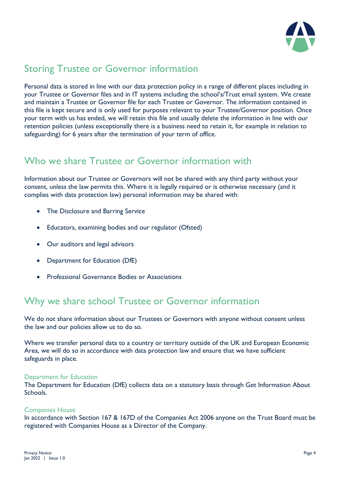

# Storing Trustee or Governor information

Personal data is stored in line with our data protection policy in a range of different places including in your Trustee or Governor files and in IT systems including the school's/Trust email system. We create and maintain a Trustee or Governor file for each Trustee or Governor. The information contained in this file is kept secure and is only used for purposes relevant to your Trustee/Governor position. Once your term with us has ended, we will retain this file and usually delete the information in line with our retention policies (unless exceptionally there is a business need to retain it, for example in relation to safeguarding) for 6 years after the termination of your term of office.

# Who we share Trustee or Governor information with

Information about our Trustee or Governors will not be shared with any third party without your consent, unless the law permits this. Where it is legally required or is otherwise necessary (and it complies with data protection law) personal information may be shared with:

- The Disclosure and Barring Service
- Educators, examining bodies and our regulator (Ofsted)
- Our auditors and legal advisors
- Department for Education (DfE)
- Professional Governance Bodies or Associations

### Why we share school Trustee or Governor information

We do not share information about our Trustees or Governors with anyone without consent unless the law and our policies allow us to do so.

Where we transfer personal data to a country or territory outside of the UK and European Economic Area, we will do so in accordance with data protection law and ensure that we have sufficient safeguards in place.

#### Department for Education

The Department for Education (DfE) collects data on a statutory basis through Get Information About Schools.

#### Companies House

In accordance with Section 167 & 167D of the Companies Act 2006 anyone on the Trust Board must be registered with Companies House as a Director of the Company.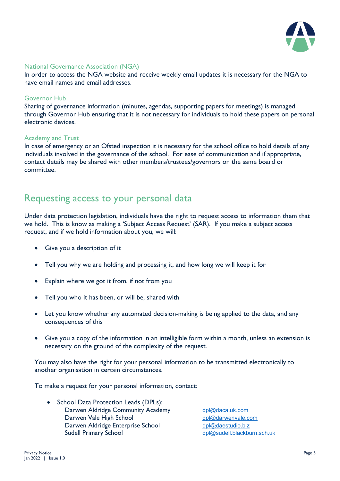

#### National Governance Association (NGA)

In order to access the NGA website and receive weekly email updates it is necessary for the NGA to have email names and email addresses.

#### Governor Hub

Sharing of governance information (minutes, agendas, supporting papers for meetings) is managed through Governor Hub ensuring that it is not necessary for individuals to hold these papers on personal electronic devices.

#### Academy and Trust

In case of emergency or an Ofsted inspection it is necessary for the school office to hold details of any individuals involved in the governance of the school. For ease of communication and if appropriate, contact details may be shared with other members/trustees/governors on the same board or committee.

### Requesting access to your personal data

Under data protection legislation, individuals have the right to request access to information them that we hold. This is know as making a 'Subject Access Request' (SAR). If you make a subject access request, and if we hold information about you, we will:

- Give you a description of it
- Tell you why we are holding and processing it, and how long we will keep it for
- Explain where we got it from, if not from you
- Tell you who it has been, or will be, shared with
- Let you know whether any automated decision-making is being applied to the data, and any consequences of this
- Give you a copy of the information in an intelligible form within a month, unless an extension is necessary on the ground of the complexity of the request.

You may also have the right for your personal information to be transmitted electronically to another organisation in certain circumstances.

To make a request for your personal information, contact:

• School Data Protection Leads (DPLs): Darwen Aldridge Community Academy [dpl@daca.uk.com](mailto:dpl@daca.uk.com) Darwen Vale High School [dpl@darwenvale.com](mailto:dpl@darwenvale.com) Darwen Aldridge Enterprise School [dpl@daestudio.biz](mailto:dpl@daestudio.biz) Sudell Primary School [dpl@sudell.blackburn.sch.uk](mailto:dpl@sudell.blackburn.sch.uk)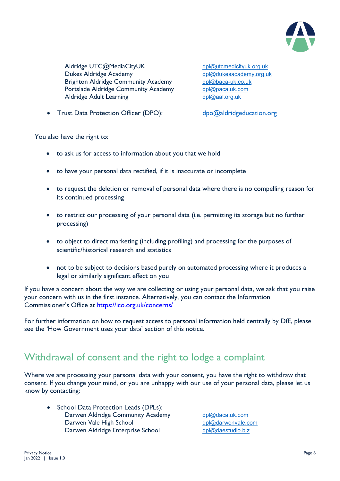

Aldridge UTC@MediaCityUK [dpl@utcmedicityuk.org.uk](mailto:dpl@utcmedicityuk.org.uk) Dukes Aldridge Academy [dpl@dukesacademy.org.uk](mailto:dpl@dukesacademy.org.uk) Brighton Aldridge Community Academy [dpl@baca-uk.co.uk](mailto:dpl@baca-uk.co.uk)<br>Portslade Aldridge Community Academy dpl@paca.uk.com Portslade Aldridge Community Academy Aldridge Adult Learning [dpl@aal.org.uk](mailto:dpl@aal.org.uk)

• Trust Data Protection Officer (DPO): [dpo@aldridgeducation.org](mailto:dpo@aldridgeducation.org)

You also have the right to:

- to ask us for access to information about you that we hold
- to have your personal data rectified, if it is inaccurate or incomplete
- to request the deletion or removal of personal data where there is no compelling reason for its continued processing
- to restrict our processing of your personal data (i.e. permitting its storage but no further processing)
- to object to direct marketing (including profiling) and processing for the purposes of scientific/historical research and statistics
- not to be subject to decisions based purely on automated processing where it produces a legal or similarly significant effect on you

If you have a concern about the way we are collecting or using your personal data, we ask that you raise your concern with us in the first instance. Alternatively, you can contact the Information Commissioner's Office at<https://ico.org.uk/concerns/>

For further information on how to request access to personal information held centrally by DfE, please see the 'How Government uses your data' section of this notice.

### Withdrawal of consent and the right to lodge a complaint

Where we are processing your personal data with your consent, you have the right to withdraw that consent. If you change your mind, or you are unhappy with our use of your personal data, please let us know by contacting:

• School Data Protection Leads (DPLs): Darwen Aldridge Community Academy [dpl@daca.uk.com](mailto:dpl@daca.uk.com) Darwen Vale High School [dpl@darwenvale.com](mailto:dpl@darwenvale.com) Darwen Aldridge Enterprise School [dpl@daestudio.biz](mailto:dpl@daestudio.biz)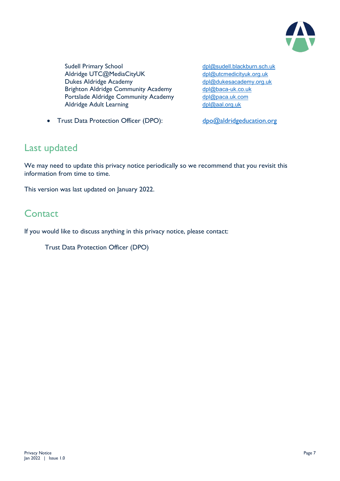

Sudell Primary School della announce the della della della della della della della della della della della della<br>Aldridge UTC@MediaCityUK della della della della della della della della della della della della della della Aldridge UTC@MediaCityUK Dukes Aldridge Academy<br>Brighton Aldridge Community Academy dpl@baca-uk.co.uk Brighton Aldridge Community Academy Portslade Aldridge Community Academy [dpl@paca.uk.com](mailto:dpl@paca.uk.com) Aldridge Adult Learning [dpl@aal.org.uk](mailto:dpl@aal.org.uk)

• Trust Data Protection Officer (DPO): [dpo@aldridgeducation.org](mailto:dpo@aldridgeducation.org)

### Last updated

We may need to update this privacy notice periodically so we recommend that you revisit this information from time to time.

This version was last updated on January 2022.

### **Contact**

If you would like to discuss anything in this privacy notice, please contact:

Trust Data Protection Officer (DPO)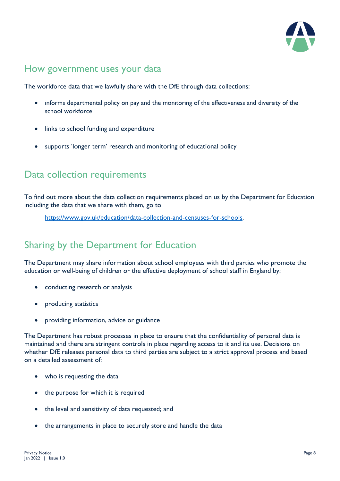

# How government uses your data

The workforce data that we lawfully share with the DfE through data collections:

- informs departmental policy on pay and the monitoring of the effectiveness and diversity of the school workforce
- links to school funding and expenditure
- supports 'longer term' research and monitoring of educational policy

### Data collection requirements

To find out more about the data collection requirements placed on us by the Department for Education including the data that we share with them, go to

[https://www.gov.uk/education/data-collection-and-censuses-for-schools.](https://www.gov.uk/education/data-collection-and-censuses-for-schools)

# Sharing by the Department for Education

The Department may share information about school employees with third parties who promote the education or well-being of children or the effective deployment of school staff in England by:

- conducting research or analysis
- producing statistics
- providing information, advice or guidance

The Department has robust processes in place to ensure that the confidentiality of personal data is maintained and there are stringent controls in place regarding access to it and its use. Decisions on whether DfE releases personal data to third parties are subject to a strict approval process and based on a detailed assessment of:

- who is requesting the data
- the purpose for which it is required
- the level and sensitivity of data requested; and
- the arrangements in place to securely store and handle the data